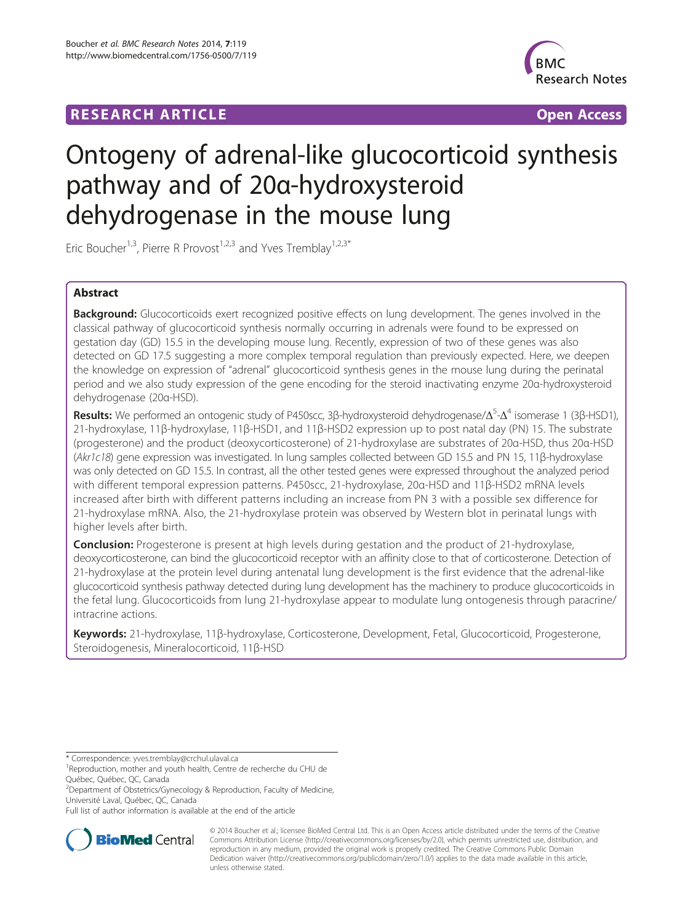## **RESEARCH ARTICLE Example 2018 CONSIDERING CONSIDERING CONSIDERING CONSIDERING CONSIDERING CONSIDERING CONSIDERING CONSIDERING CONSIDERING CONSIDERING CONSIDERING CONSIDERING CONSIDERING CONSIDERING CONSIDERING CONSIDE**



# Ontogeny of adrenal-like glucocorticoid synthesis pathway and of 20α-hydroxysteroid dehydrogenase in the mouse lung

Eric Boucher<sup>1,3</sup>, Pierre R Provost<sup>1,2,3</sup> and Yves Tremblay<sup>1,2,3\*</sup>

### Abstract

Background: Glucocorticoids exert recognized positive effects on lung development. The genes involved in the classical pathway of glucocorticoid synthesis normally occurring in adrenals were found to be expressed on gestation day (GD) 15.5 in the developing mouse lung. Recently, expression of two of these genes was also detected on GD 17.5 suggesting a more complex temporal regulation than previously expected. Here, we deepen the knowledge on expression of "adrenal" glucocorticoid synthesis genes in the mouse lung during the perinatal period and we also study expression of the gene encoding for the steroid inactivating enzyme 20α-hydroxysteroid dehydrogenase (20α-HSD).

Results: We performed an ontogenic study of P450scc, 3β-hydroxysteroid dehydrogenase/Δ<sup>5</sup>-Δ<sup>4</sup> isomerase 1 (3β-HSD1), 21-hydroxylase, 11β-hydroxylase, 11β-HSD1, and 11β-HSD2 expression up to post natal day (PN) 15. The substrate (progesterone) and the product (deoxycorticosterone) of 21-hydroxylase are substrates of 20α-HSD, thus 20α-HSD (Akr1c18) gene expression was investigated. In lung samples collected between GD 15.5 and PN 15, 11β-hydroxylase was only detected on GD 15.5. In contrast, all the other tested genes were expressed throughout the analyzed period with different temporal expression patterns. P450scc, 21-hydroxylase, 20α-HSD and 11β-HSD2 mRNA levels increased after birth with different patterns including an increase from PN 3 with a possible sex difference for 21-hydroxylase mRNA. Also, the 21-hydroxylase protein was observed by Western blot in perinatal lungs with higher levels after birth.

**Conclusion:** Progesterone is present at high levels during gestation and the product of 21-hydroxylase, deoxycorticosterone, can bind the glucocorticoid receptor with an affinity close to that of corticosterone. Detection of 21-hydroxylase at the protein level during antenatal lung development is the first evidence that the adrenal-like glucocorticoid synthesis pathway detected during lung development has the machinery to produce glucocorticoids in the fetal lung. Glucocorticoids from lung 21-hydroxylase appear to modulate lung ontogenesis through paracrine/ intracrine actions.

Keywords: 21-hydroxylase, 11β-hydroxylase, Corticosterone, Development, Fetal, Glucocorticoid, Progesterone, Steroidogenesis, Mineralocorticoid, 11β-HSD

Full list of author information is available at the end of the article



© 2014 Boucher et al.; licensee BioMed Central Ltd. This is an Open Access article distributed under the terms of the Creative Commons Attribution License [\(http://creativecommons.org/licenses/by/2.0\)](http://creativecommons.org/licenses/by/2.0), which permits unrestricted use, distribution, and reproduction in any medium, provided the original work is properly credited. The Creative Commons Public Domain Dedication waiver [\(http://creativecommons.org/publicdomain/zero/1.0/](http://creativecommons.org/publicdomain/zero/1.0/)) applies to the data made available in this article, unless otherwise stated.

<sup>\*</sup> Correspondence: [yves.tremblay@crchul.ulaval.ca](mailto:yves.tremblay@crchul.ulaval.ca) <sup>1</sup>

<sup>&</sup>lt;sup>1</sup>Reproduction, mother and youth health, Centre de recherche du CHU de Québec, Québec, QC, Canada

<sup>&</sup>lt;sup>2</sup>Department of Obstetrics/Gynecology & Reproduction, Faculty of Medicine, Université Laval, Québec, QC, Canada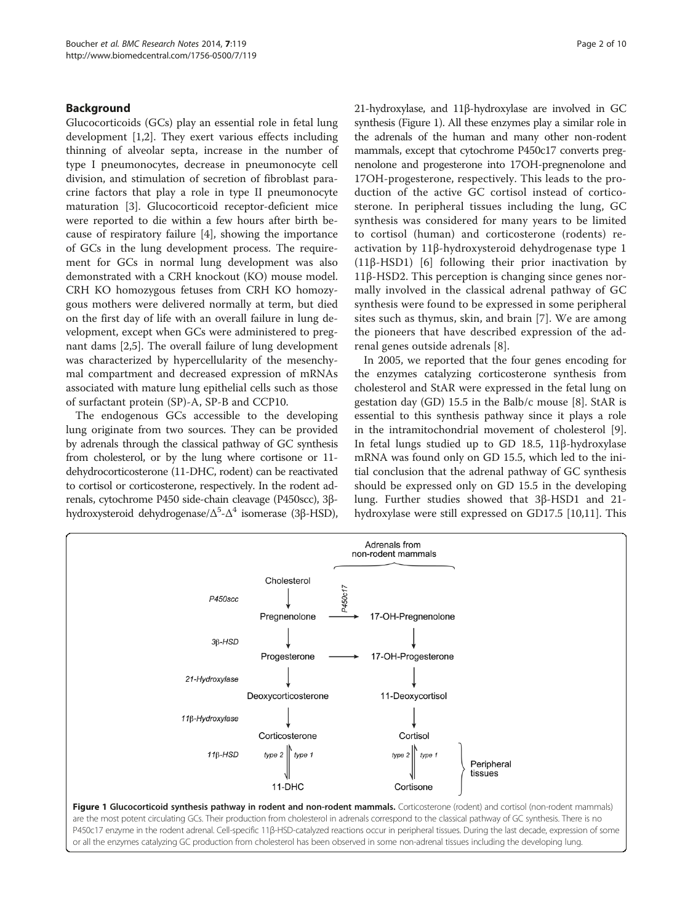#### Background

Glucocorticoids (GCs) play an essential role in fetal lung development [[1,2\]](#page-8-0). They exert various effects including thinning of alveolar septa, increase in the number of type I pneumonocytes, decrease in pneumonocyte cell division, and stimulation of secretion of fibroblast paracrine factors that play a role in type II pneumonocyte maturation [[3\]](#page-8-0). Glucocorticoid receptor-deficient mice were reported to die within a few hours after birth because of respiratory failure [[4](#page-8-0)], showing the importance of GCs in the lung development process. The requirement for GCs in normal lung development was also demonstrated with a CRH knockout (KO) mouse model. CRH KO homozygous fetuses from CRH KO homozygous mothers were delivered normally at term, but died on the first day of life with an overall failure in lung development, except when GCs were administered to pregnant dams [\[2,5](#page-8-0)]. The overall failure of lung development was characterized by hypercellularity of the mesenchymal compartment and decreased expression of mRNAs associated with mature lung epithelial cells such as those of surfactant protein (SP)-A, SP-B and CCP10.

The endogenous GCs accessible to the developing lung originate from two sources. They can be provided by adrenals through the classical pathway of GC synthesis from cholesterol, or by the lung where cortisone or 11 dehydrocorticosterone (11-DHC, rodent) can be reactivated to cortisol or corticosterone, respectively. In the rodent adrenals, cytochrome P450 side-chain cleavage (P450scc), 3βhydroxysteroid dehydrogenase/Δ<sup>5</sup>-Δ<sup>4</sup> isomerase (3β-HSD),

21-hydroxylase, and 11β-hydroxylase are involved in GC synthesis (Figure 1). All these enzymes play a similar role in the adrenals of the human and many other non-rodent mammals, except that cytochrome P450c17 converts pregnenolone and progesterone into 17OH-pregnenolone and 17OH-progesterone, respectively. This leads to the production of the active GC cortisol instead of corticosterone. In peripheral tissues including the lung, GC synthesis was considered for many years to be limited to cortisol (human) and corticosterone (rodents) reactivation by 11β-hydroxysteroid dehydrogenase type 1 (11β-HSD1) [\[6](#page-8-0)] following their prior inactivation by 11β-HSD2. This perception is changing since genes normally involved in the classical adrenal pathway of GC synthesis were found to be expressed in some peripheral sites such as thymus, skin, and brain [[7\]](#page-8-0). We are among the pioneers that have described expression of the adrenal genes outside adrenals [[8\]](#page-8-0).

In 2005, we reported that the four genes encoding for the enzymes catalyzing corticosterone synthesis from cholesterol and StAR were expressed in the fetal lung on gestation day (GD) 15.5 in the Balb/c mouse [[8\]](#page-8-0). StAR is essential to this synthesis pathway since it plays a role in the intramitochondrial movement of cholesterol [\[9](#page-8-0)]. In fetal lungs studied up to GD 18.5, 11β-hydroxylase mRNA was found only on GD 15.5, which led to the initial conclusion that the adrenal pathway of GC synthesis should be expressed only on GD 15.5 in the developing lung. Further studies showed that 3β-HSD1 and 21 hydroxylase were still expressed on GD17.5 [\[10,11](#page-8-0)]. This

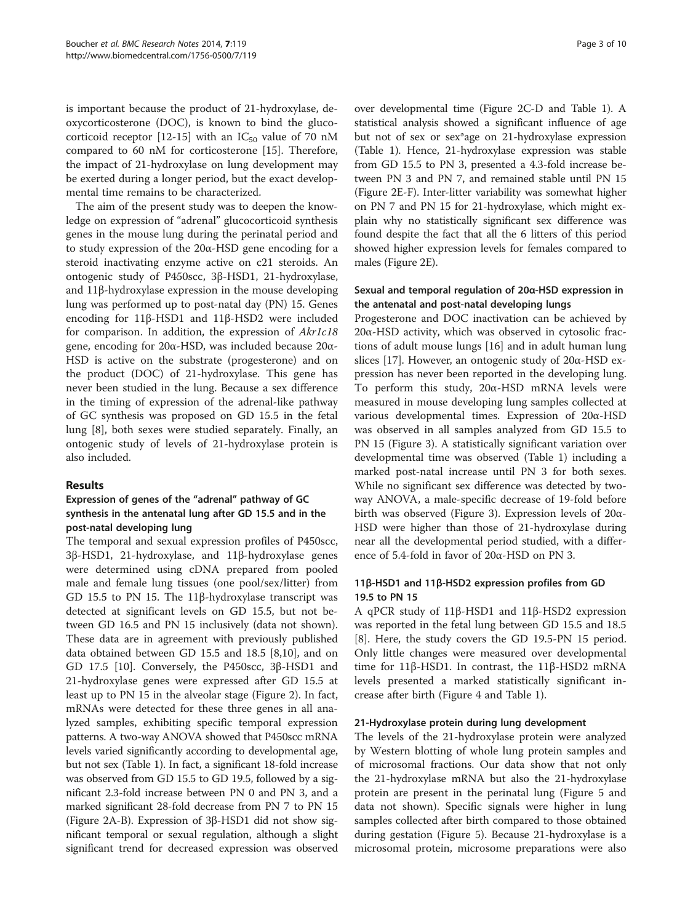is important because the product of 21-hydroxylase, deoxycorticosterone (DOC), is known to bind the gluco-corticoid receptor [\[12-15](#page-8-0)] with an  $IC_{50}$  value of 70 nM compared to 60 nM for corticosterone [[15\]](#page-8-0). Therefore, the impact of 21-hydroxylase on lung development may be exerted during a longer period, but the exact developmental time remains to be characterized.

The aim of the present study was to deepen the knowledge on expression of "adrenal" glucocorticoid synthesis genes in the mouse lung during the perinatal period and to study expression of the 20α-HSD gene encoding for a steroid inactivating enzyme active on c21 steroids. An ontogenic study of P450scc, 3β-HSD1, 21-hydroxylase, and 11β-hydroxylase expression in the mouse developing lung was performed up to post-natal day (PN) 15. Genes encoding for 11β-HSD1 and 11β-HSD2 were included for comparison. In addition, the expression of Akr1c18 gene, encoding for 20α-HSD, was included because 20α-HSD is active on the substrate (progesterone) and on the product (DOC) of 21-hydroxylase. This gene has never been studied in the lung. Because a sex difference in the timing of expression of the adrenal-like pathway of GC synthesis was proposed on GD 15.5 in the fetal lung [[8\]](#page-8-0), both sexes were studied separately. Finally, an ontogenic study of levels of 21-hydroxylase protein is also included.

#### Results

#### Expression of genes of the "adrenal" pathway of GC synthesis in the antenatal lung after GD 15.5 and in the post-natal developing lung

The temporal and sexual expression profiles of P450scc, 3β-HSD1, 21-hydroxylase, and 11β-hydroxylase genes were determined using cDNA prepared from pooled male and female lung tissues (one pool/sex/litter) from GD 15.5 to PN 15. The 11β-hydroxylase transcript was detected at significant levels on GD 15.5, but not between GD 16.5 and PN 15 inclusively (data not shown). These data are in agreement with previously published data obtained between GD 15.5 and 18.5 [\[8,10](#page-8-0)], and on GD 17.5 [\[10](#page-8-0)]. Conversely, the P450scc, 3β-HSD1 and 21-hydroxylase genes were expressed after GD 15.5 at least up to PN 15 in the alveolar stage (Figure [2](#page-3-0)). In fact, mRNAs were detected for these three genes in all analyzed samples, exhibiting specific temporal expression patterns. A two-way ANOVA showed that P450scc mRNA levels varied significantly according to developmental age, but not sex (Table [1](#page-4-0)). In fact, a significant 18-fold increase was observed from GD 15.5 to GD 19.5, followed by a significant 2.3-fold increase between PN 0 and PN 3, and a marked significant 28-fold decrease from PN 7 to PN 15 (Figure [2](#page-3-0)A-B). Expression of 3β-HSD1 did not show significant temporal or sexual regulation, although a slight significant trend for decreased expression was observed

over developmental time (Figure [2C](#page-3-0)-D and Table [1\)](#page-4-0). A statistical analysis showed a significant influence of age but not of sex or sex\*age on 21-hydroxylase expression (Table [1\)](#page-4-0). Hence, 21-hydroxylase expression was stable from GD 15.5 to PN 3, presented a 4.3-fold increase between PN 3 and PN 7, and remained stable until PN 15 (Figure [2](#page-3-0)E-F). Inter-litter variability was somewhat higher on PN 7 and PN 15 for 21-hydroxylase, which might explain why no statistically significant sex difference was found despite the fact that all the 6 litters of this period showed higher expression levels for females compared to males (Figure [2E](#page-3-0)).

#### Sexual and temporal regulation of 20α-HSD expression in the antenatal and post-natal developing lungs

Progesterone and DOC inactivation can be achieved by 20α-HSD activity, which was observed in cytosolic fractions of adult mouse lungs [\[16\]](#page-8-0) and in adult human lung slices [\[17](#page-8-0)]. However, an ontogenic study of 20α-HSD expression has never been reported in the developing lung. To perform this study, 20α-HSD mRNA levels were measured in mouse developing lung samples collected at various developmental times. Expression of 20α-HSD was observed in all samples analyzed from GD 15.5 to PN 15 (Figure [3\)](#page-4-0). A statistically significant variation over developmental time was observed (Table [1\)](#page-4-0) including a marked post-natal increase until PN 3 for both sexes. While no significant sex difference was detected by twoway ANOVA, a male-specific decrease of 19-fold before birth was observed (Figure [3\)](#page-4-0). Expression levels of 20α-HSD were higher than those of 21-hydroxylase during near all the developmental period studied, with a difference of 5.4-fold in favor of 20α-HSD on PN 3.

#### 11β-HSD1 and 11β-HSD2 expression profiles from GD 19.5 to PN 15

A qPCR study of 11β-HSD1 and 11β-HSD2 expression was reported in the fetal lung between GD 15.5 and 18.5 [[8\]](#page-8-0). Here, the study covers the GD 19.5-PN 15 period. Only little changes were measured over developmental time for 11β-HSD1. In contrast, the 11β-HSD2 mRNA levels presented a marked statistically significant increase after birth (Figure [4](#page-5-0) and Table [1\)](#page-4-0).

#### 21-Hydroxylase protein during lung development

The levels of the 21-hydroxylase protein were analyzed by Western blotting of whole lung protein samples and of microsomal fractions. Our data show that not only the 21-hydroxylase mRNA but also the 21-hydroxylase protein are present in the perinatal lung (Figure [5](#page-6-0) and data not shown). Specific signals were higher in lung samples collected after birth compared to those obtained during gestation (Figure [5](#page-6-0)). Because 21-hydroxylase is a microsomal protein, microsome preparations were also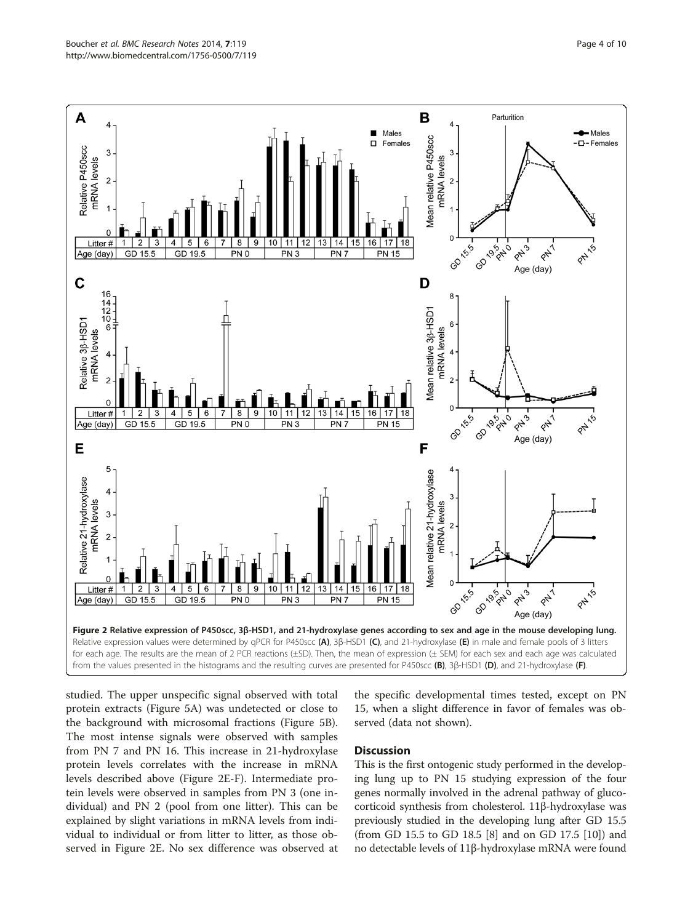<span id="page-3-0"></span>

studied. The upper unspecific signal observed with total protein extracts (Figure [5A](#page-6-0)) was undetected or close to the background with microsomal fractions (Figure [5](#page-6-0)B). The most intense signals were observed with samples from PN 7 and PN 16. This increase in 21-hydroxylase protein levels correlates with the increase in mRNA levels described above (Figure 2E-F). Intermediate protein levels were observed in samples from PN 3 (one individual) and PN 2 (pool from one litter). This can be explained by slight variations in mRNA levels from indi-**Discussion** 

vidual to individual or from litter to litter, as those observed in Figure 2E. No sex difference was observed at

the specific developmental times tested, except on PN 15, when a slight difference in favor of females was observed (data not shown).

This is the first ontogenic study performed in the developing lung up to PN 15 studying expression of the four genes normally involved in the adrenal pathway of glucocorticoid synthesis from cholesterol. 11β-hydroxylase was previously studied in the developing lung after GD 15.5 (from GD 15.5 to GD 18.5 [[8](#page-8-0)] and on GD 17.5 [[10](#page-8-0)]) and no detectable levels of 11β-hydroxylase mRNA were found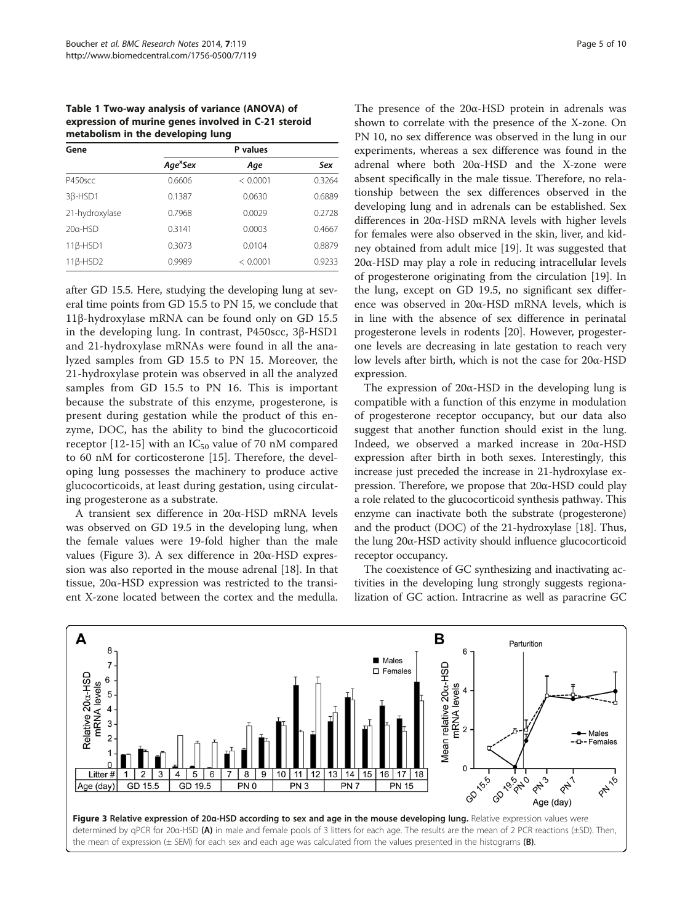<span id="page-4-0"></span>Table 1 Two-way analysis of variance (ANOVA) of expression of murine genes involved in C-21 steroid metabolism in the developing lung

| Gene                 | P values             |          |        |  |
|----------------------|----------------------|----------|--------|--|
|                      | Age <sup>x</sup> Sex | Age      | Sex    |  |
| P450scc              | 0.6606               | < 0.0001 | 0.3264 |  |
| 3 <sub>B</sub> -HSD1 | 0.1387               | 0.0630   | 0.6889 |  |
| 21-hydroxylase       | 0.7968               | 0.0029   | 0.2728 |  |
| $20a$ -HSD           | 0.3141               | 0.0003   | 0.4667 |  |
| $11\beta$ -HSD1      | 0.3073               | 0.0104   | 0.8879 |  |
| $11\beta$ -HSD2      | 0.9989               | < 0.0001 | 0.9233 |  |

after GD 15.5. Here, studying the developing lung at several time points from GD 15.5 to PN 15, we conclude that 11β-hydroxylase mRNA can be found only on GD 15.5 in the developing lung. In contrast, P450scc, 3β-HSD1 and 21-hydroxylase mRNAs were found in all the analyzed samples from GD 15.5 to PN 15. Moreover, the 21-hydroxylase protein was observed in all the analyzed samples from GD 15.5 to PN 16. This is important because the substrate of this enzyme, progesterone, is present during gestation while the product of this enzyme, DOC, has the ability to bind the glucocorticoid receptor [[12-15\]](#page-8-0) with an  $IC_{50}$  value of 70 nM compared to 60 nM for corticosterone [[15\]](#page-8-0). Therefore, the developing lung possesses the machinery to produce active glucocorticoids, at least during gestation, using circulating progesterone as a substrate.

A transient sex difference in 20α-HSD mRNA levels was observed on GD 19.5 in the developing lung, when the female values were 19-fold higher than the male values (Figure 3). A sex difference in 20α-HSD expression was also reported in the mouse adrenal [[18](#page-8-0)]. In that tissue, 20α-HSD expression was restricted to the transient X-zone located between the cortex and the medulla. The presence of the  $20\alpha$ -HSD protein in adrenals was shown to correlate with the presence of the X-zone. On PN 10, no sex difference was observed in the lung in our experiments, whereas a sex difference was found in the adrenal where both 20α-HSD and the X-zone were absent specifically in the male tissue. Therefore, no relationship between the sex differences observed in the developing lung and in adrenals can be established. Sex differences in 20α-HSD mRNA levels with higher levels for females were also observed in the skin, liver, and kidney obtained from adult mice [[19](#page-8-0)]. It was suggested that 20α-HSD may play a role in reducing intracellular levels of progesterone originating from the circulation [\[19\]](#page-8-0). In the lung, except on GD 19.5, no significant sex difference was observed in 20α-HSD mRNA levels, which is in line with the absence of sex difference in perinatal progesterone levels in rodents [[20](#page-8-0)]. However, progesterone levels are decreasing in late gestation to reach very low levels after birth, which is not the case for 20α-HSD expression.

The expression of 20α-HSD in the developing lung is compatible with a function of this enzyme in modulation of progesterone receptor occupancy, but our data also suggest that another function should exist in the lung. Indeed, we observed a marked increase in 20α-HSD expression after birth in both sexes. Interestingly, this increase just preceded the increase in 21-hydroxylase expression. Therefore, we propose that 20α-HSD could play a role related to the glucocorticoid synthesis pathway. This enzyme can inactivate both the substrate (progesterone) and the product (DOC) of the 21-hydroxylase [[18](#page-8-0)]. Thus, the lung 20α-HSD activity should influence glucocorticoid receptor occupancy.

The coexistence of GC synthesizing and inactivating activities in the developing lung strongly suggests regionalization of GC action. Intracrine as well as paracrine GC

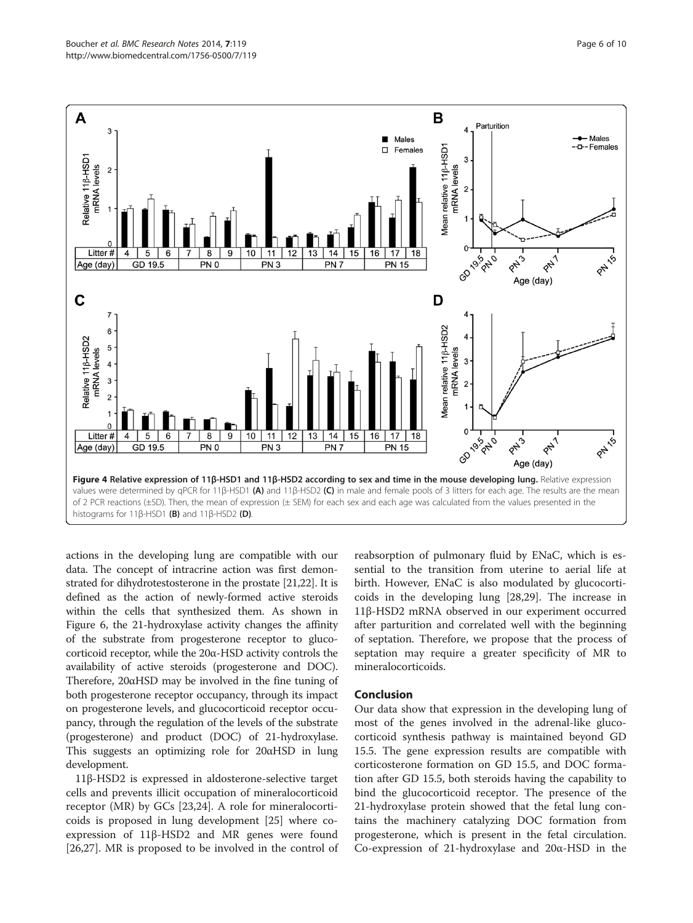<span id="page-5-0"></span>

actions in the developing lung are compatible with our data. The concept of intracrine action was first demonstrated for dihydrotestosterone in the prostate [\[21,22\]](#page-8-0). It is defined as the action of newly-formed active steroids within the cells that synthesized them. As shown in Figure [6,](#page-6-0) the 21-hydroxylase activity changes the affinity of the substrate from progesterone receptor to glucocorticoid receptor, while the 20α-HSD activity controls the availability of active steroids (progesterone and DOC). Therefore, 20αHSD may be involved in the fine tuning of both progesterone receptor occupancy, through its impact on progesterone levels, and glucocorticoid receptor occupancy, through the regulation of the levels of the substrate (progesterone) and product (DOC) of 21-hydroxylase. This suggests an optimizing role for 20αHSD in lung development.

11β-HSD2 is expressed in aldosterone-selective target cells and prevents illicit occupation of mineralocorticoid receptor (MR) by GCs [[23](#page-8-0),[24](#page-9-0)]. A role for mineralocorticoids is proposed in lung development [[25](#page-9-0)] where coexpression of 11β-HSD2 and MR genes were found [[26,27\]](#page-9-0). MR is proposed to be involved in the control of

reabsorption of pulmonary fluid by ENaC, which is essential to the transition from uterine to aerial life at birth. However, ENaC is also modulated by glucocorticoids in the developing lung [\[28,29](#page-9-0)]. The increase in 11β-HSD2 mRNA observed in our experiment occurred after parturition and correlated well with the beginning of septation. Therefore, we propose that the process of septation may require a greater specificity of MR to mineralocorticoids.

#### Conclusion

Our data show that expression in the developing lung of most of the genes involved in the adrenal-like glucocorticoid synthesis pathway is maintained beyond GD 15.5. The gene expression results are compatible with corticosterone formation on GD 15.5, and DOC formation after GD 15.5, both steroids having the capability to bind the glucocorticoid receptor. The presence of the 21-hydroxylase protein showed that the fetal lung contains the machinery catalyzing DOC formation from progesterone, which is present in the fetal circulation. Co-expression of 21-hydroxylase and 20α-HSD in the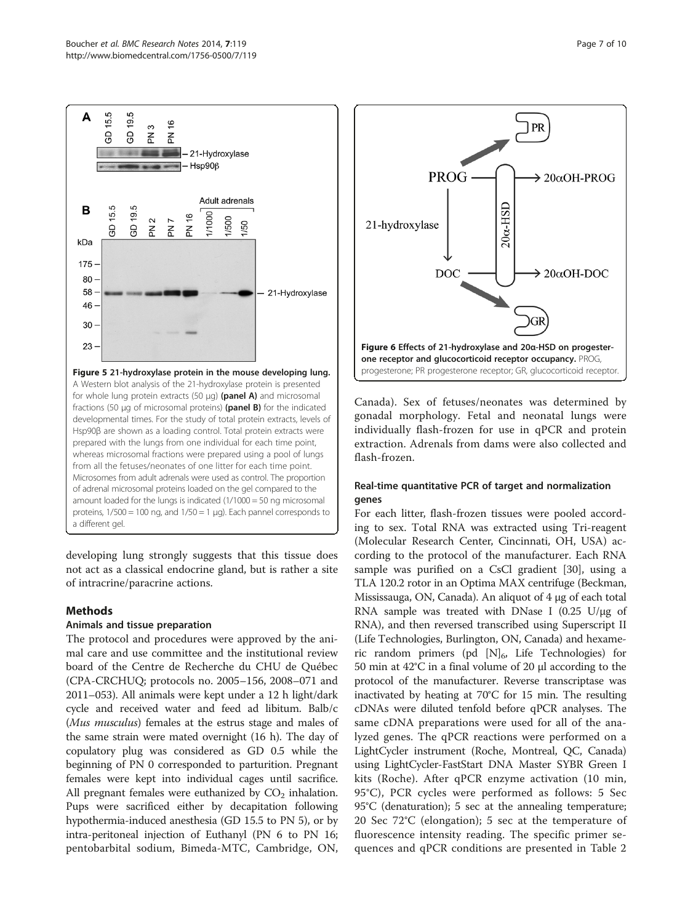<span id="page-6-0"></span>

developing lung strongly suggests that this tissue does not act as a classical endocrine gland, but is rather a site of intracrine/paracrine actions.

#### Methods

#### Animals and tissue preparation

The protocol and procedures were approved by the animal care and use committee and the institutional review board of the Centre de Recherche du CHU de Québec (CPA-CRCHUQ; protocols no. 2005–156, 2008–071 and 2011–053). All animals were kept under a 12 h light/dark cycle and received water and feed ad libitum. Balb/c (*Mus musculus*) females at the estrus stage and males of the same strain were mated overnight (16 h). The day of copulatory plug was considered as GD 0.5 while the beginning of PN 0 corresponded to parturition. Pregnant females were kept into individual cages until sacrifice. All pregnant females were euthanized by  $CO<sub>2</sub>$  inhalation. Pups were sacrificed either by decapitation following hypothermia-induced anesthesia (GD 15.5 to PN 5), or by intra-peritoneal injection of Euthanyl (PN 6 to PN 16; pentobarbital sodium, Bimeda-MTC, Cambridge, ON,



Canada). Sex of fetuses/neonates was determined by gonadal morphology. Fetal and neonatal lungs were individually flash-frozen for use in qPCR and protein extraction. Adrenals from dams were also collected and flash-frozen.

#### Real-time quantitative PCR of target and normalization genes

For each litter, flash-frozen tissues were pooled according to sex. Total RNA was extracted using Tri-reagent (Molecular Research Center, Cincinnati, OH, USA) according to the protocol of the manufacturer. Each RNA sample was purified on a CsCl gradient [\[30\]](#page-9-0), using a TLA 120.2 rotor in an Optima MAX centrifuge (Beckman, Mississauga, ON, Canada). An aliquot of 4 μg of each total RNA sample was treated with DNase I  $(0.25 \text{ U}/\mu\text{g})$  of RNA), and then reversed transcribed using Superscript II (Life Technologies, Burlington, ON, Canada) and hexameric random primers (pd  $[N]_6$ , Life Technologies) for 50 min at 42°C in a final volume of 20 μl according to the protocol of the manufacturer. Reverse transcriptase was inactivated by heating at 70°C for 15 min. The resulting cDNAs were diluted tenfold before qPCR analyses. The same cDNA preparations were used for all of the analyzed genes. The qPCR reactions were performed on a LightCycler instrument (Roche, Montreal, QC, Canada) using LightCycler-FastStart DNA Master SYBR Green I kits (Roche). After qPCR enzyme activation (10 min, 95°C), PCR cycles were performed as follows: 5 Sec 95°C (denaturation); 5 sec at the annealing temperature; 20 Sec 72°C (elongation); 5 sec at the temperature of fluorescence intensity reading. The specific primer sequences and qPCR conditions are presented in Table [2](#page-7-0)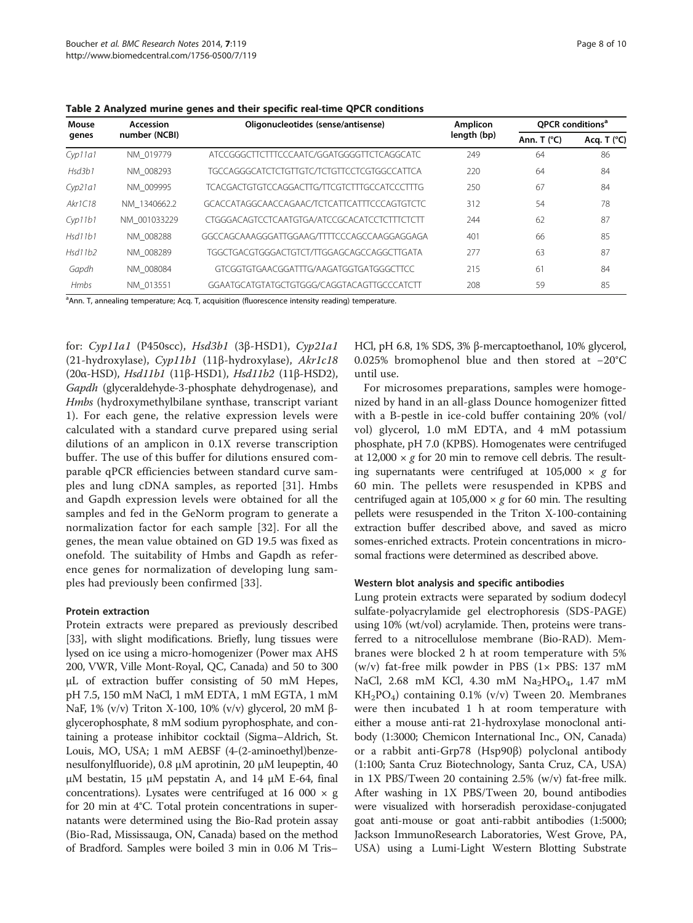| Mouse<br>genes | Accession<br>number (NCBI) | Oligonucleotides (sense/antisense)           | Amplicon<br>length (bp) | QPCR conditions <sup>a</sup> |               |
|----------------|----------------------------|----------------------------------------------|-------------------------|------------------------------|---------------|
|                |                            |                                              |                         | Ann. T $(°C)$                | Acq. T $(°C)$ |
| $Cv$ p11a1     | NM 019779                  | ATCCGGGCTTCTTTCCCAATC/GGATGGGGTTCTCAGGCATC   | 249                     | 64                           | 86            |
| Hsd3b1         | NM 008293                  | TGCCAGGGCATCTCTGTTGTC/TCTGTTCCTCGTGGCCATTCA  | 220                     | 64                           | 84            |
| Cyp21a1        | NM 009995                  | TCACGACTGTGTCCAGGACTTG/TTCGTCTTTGCCATCCCTTTG | 250                     | 67                           | 84            |
| Akr1C18        | NM 1340662.2               | GCACCATAGGCAACCAGAAC/TCTCATTCATTTCCCAGTGTCTC | 312                     | 54                           | 78            |
| $Cv$ $11b1$    | NM 001033229               | CTGGGACAGTCCTCAATGTGA/ATCCGCACATCCTCTTTCTCTT | 244                     | 62                           | 87            |
| Hsdl1b1        | NM 008288                  | GGCCAGCAAAGGGATTGGAAG/TTTTCCCAGCCAAGGAGGAGA  | 401                     | 66                           | 85            |
| Hsd11b2        | NM 008289                  | TGGCTGACGTGGGACTGTCT/TTGGAGCAGCCAGGCTTGATA   | 277                     | 63                           | 87            |
| Gapdh          | NM 008084                  | GTCGGTGTGAACGGATTTG/AAGATGGTGATGGGCTTCC      | 215                     | 61                           | 84            |
| <b>Hmbs</b>    | NM 013551                  | GGAATGCATGTATGCTGTGGG/CAGGTACAGTTGCCCATCTT   | 208                     | 59                           | 85            |

<span id="page-7-0"></span>Table 2 Analyzed murine genes and their specific real-time QPCR conditions

<sup>a</sup>Ann. T, annealing temperature; Acq. T, acquisition (fluorescence intensity reading) temperature.

for: Cyp11a1 (P450scc), Hsd3b1 (3β-HSD1), Cyp21a1 (21-hydroxylase), Cyp11b1 (11β-hydroxylase), Akr1c18 (20α-HSD), Hsd11b1 (11β-HSD1), Hsd11b2 (11β-HSD2), Gapdh (glyceraldehyde-3-phosphate dehydrogenase), and Hmbs (hydroxymethylbilane synthase, transcript variant 1). For each gene, the relative expression levels were calculated with a standard curve prepared using serial dilutions of an amplicon in 0.1X reverse transcription buffer. The use of this buffer for dilutions ensured comparable qPCR efficiencies between standard curve samples and lung cDNA samples, as reported [[31\]](#page-9-0). Hmbs and Gapdh expression levels were obtained for all the samples and fed in the GeNorm program to generate a normalization factor for each sample [[32\]](#page-9-0). For all the genes, the mean value obtained on GD 19.5 was fixed as onefold. The suitability of Hmbs and Gapdh as reference genes for normalization of developing lung samples had previously been confirmed [[33\]](#page-9-0).

#### Protein extraction

Protein extracts were prepared as previously described [[33](#page-9-0)], with slight modifications. Briefly, lung tissues were lysed on ice using a micro-homogenizer (Power max AHS 200, VWR, Ville Mont-Royal, QC, Canada) and 50 to 300 μL of extraction buffer consisting of 50 mM Hepes, pH 7.5, 150 mM NaCl, 1 mM EDTA, 1 mM EGTA, 1 mM NaF, 1% (v/v) Triton X-100, 10% (v/v) glycerol, 20 mM βglycerophosphate, 8 mM sodium pyrophosphate, and containing a protease inhibitor cocktail (Sigma–Aldrich, St. Louis, MO, USA; 1 mM AEBSF (4-(2-aminoethyl)benzenesulfonylfluoride), 0.8 μM aprotinin, 20 μM leupeptin, 40 μM bestatin, 15 μM pepstatin A, and 14 μM E-64, final concentrations). Lysates were centrifuged at 16 000  $\times$  g for 20 min at 4°C. Total protein concentrations in supernatants were determined using the Bio-Rad protein assay (Bio-Rad, Mississauga, ON, Canada) based on the method of Bradford. Samples were boiled 3 min in 0.06 M Tris–

HCl, pH 6.8, 1% SDS, 3% β-mercaptoethanol, 10% glycerol, 0.025% bromophenol blue and then stored at −20°C until use.

For microsomes preparations, samples were homogenized by hand in an all-glass Dounce homogenizer fitted with a B-pestle in ice-cold buffer containing 20% (vol/ vol) glycerol, 1.0 mM EDTA, and 4 mM potassium phosphate, pH 7.0 (KPBS). Homogenates were centrifuged at 12,000  $\times$  g for 20 min to remove cell debris. The resulting supernatants were centrifuged at  $105,000 \times g$  for 60 min. The pellets were resuspended in KPBS and centrifuged again at 105,000  $\times$  g for 60 min. The resulting pellets were resuspended in the Triton X-100-containing extraction buffer described above, and saved as micro somes-enriched extracts. Protein concentrations in microsomal fractions were determined as described above.

#### Western blot analysis and specific antibodies

Lung protein extracts were separated by sodium dodecyl sulfate-polyacrylamide gel electrophoresis (SDS-PAGE) using 10% (wt/vol) acrylamide. Then, proteins were transferred to a nitrocellulose membrane (Bio-RAD). Membranes were blocked 2 h at room temperature with 5% (w/v) fat-free milk powder in PBS  $(1 \times$  PBS: 137 mM NaCl, 2.68 mM KCl, 4.30 mM  $Na<sub>2</sub>HPO<sub>4</sub>$ , 1.47 mM  $KH_2PO_4$ ) containing 0.1% (v/v) Tween 20. Membranes were then incubated 1 h at room temperature with either a mouse anti-rat 21-hydroxylase monoclonal antibody (1:3000; Chemicon International Inc., ON, Canada) or a rabbit anti-Grp78 (Hsp90β) polyclonal antibody (1:100; Santa Cruz Biotechnology, Santa Cruz, CA, USA) in 1X PBS/Tween 20 containing 2.5% (w/v) fat-free milk. After washing in 1X PBS/Tween 20, bound antibodies were visualized with horseradish peroxidase-conjugated goat anti-mouse or goat anti-rabbit antibodies (1:5000; Jackson ImmunoResearch Laboratories, West Grove, PA, USA) using a Lumi-Light Western Blotting Substrate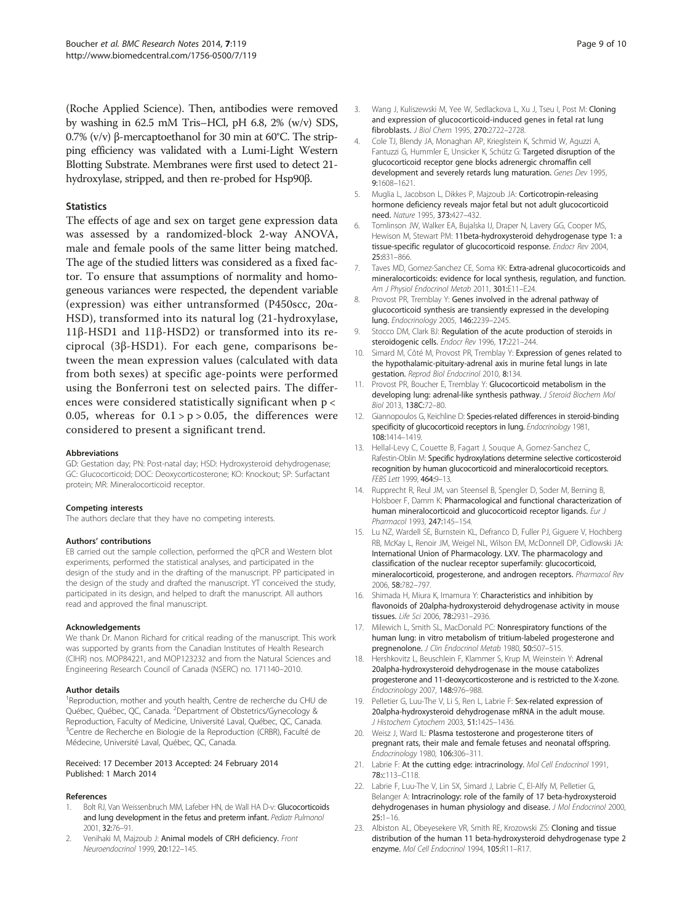<span id="page-8-0"></span>(Roche Applied Science). Then, antibodies were removed by washing in 62.5 mM Tris–HCl, pH 6.8, 2% (w/v) SDS, 0.7% (v/v) β-mercaptoethanol for 30 min at 60°C. The stripping efficiency was validated with a Lumi-Light Western Blotting Substrate. Membranes were first used to detect 21 hydroxylase, stripped, and then re-probed for Hsp90β.

#### **Statistics**

The effects of age and sex on target gene expression data was assessed by a randomized-block 2-way ANOVA, male and female pools of the same litter being matched. The age of the studied litters was considered as a fixed factor. To ensure that assumptions of normality and homogeneous variances were respected, the dependent variable (expression) was either untransformed (P450scc, 20α-HSD), transformed into its natural log (21-hydroxylase, 11β-HSD1 and 11β-HSD2) or transformed into its reciprocal (3β-HSD1). For each gene, comparisons between the mean expression values (calculated with data from both sexes) at specific age-points were performed using the Bonferroni test on selected pairs. The differences were considered statistically significant when p < 0.05, whereas for  $0.1 > p > 0.05$ , the differences were considered to present a significant trend.

#### Abbreviations

GD: Gestation day; PN: Post-natal day; HSD: Hydroxysteroid dehydrogenase; GC: Glucocorticoid; DOC: Deoxycorticosterone; KO: Knockout; SP: Surfactant protein; MR: Mineralocorticoid receptor.

#### Competing interests

The authors declare that they have no competing interests.

#### Authors' contributions

EB carried out the sample collection, performed the qPCR and Western blot experiments, performed the statistical analyses, and participated in the design of the study and in the drafting of the manuscript. PP participated in the design of the study and drafted the manuscript. YT conceived the study, participated in its design, and helped to draft the manuscript. All authors read and approved the final manuscript.

#### Acknowledgements

We thank Dr. Manon Richard for critical reading of the manuscript. This work was supported by grants from the Canadian Institutes of Health Research (CIHR) nos. MOP84221, and MOP123232 and from the Natural Sciences and Engineering Research Council of Canada (NSERC) no. 171140–2010.

#### Author details

<sup>1</sup>Reproduction, mother and youth health, Centre de recherche du CHU de Québec, Québec, QC, Canada. <sup>2</sup>Department of Obstetrics/Gynecology & Reproduction, Faculty of Medicine, Université Laval, Québec, QC, Canada. <sup>3</sup>Centre de Recherche en Biologie de la Reproduction (CRBR), Faculté de Médecine, Université Laval, Québec, QC, Canada.

#### Received: 17 December 2013 Accepted: 24 February 2014 Published: 1 March 2014

#### References

- 1. Bolt RJ, Van Weissenbruch MM, Lafeber HN, de Wall HA D-v: Glucocorticoids and lung development in the fetus and preterm infant. Pediatr Pulmonol 2001, 32:76–91.
- 2. Venihaki M, Majzoub J: Animal models of CRH deficiency. Front Neuroendocrinol 1999, 20:122–145.
- 3. Wang J, Kuliszewski M, Yee W, Sedlackova L, Xu J, Tseu I, Post M: Cloning and expression of glucocorticoid-induced genes in fetal rat lung fibroblasts. J Biol Chem 1995, 270:2722–2728.
- 4. Cole TJ, Blendy JA, Monaghan AP, Krieglstein K, Schmid W, Aguzzi A, Fantuzzi G, Hummler E, Unsicker K, Schütz G: Targeted disruption of the glucocorticoid receptor gene blocks adrenergic chromaffin cell development and severely retards lung maturation. Genes Dev 1995, 9:1608–1621.
- 5. Muglia L, Jacobson L, Dikkes P, Majzoub JA: Corticotropin-releasing hormone deficiency reveals major fetal but not adult glucocorticoid need. Nature 1995, 373:427–432.
- 6. Tomlinson JW, Walker EA, Bujalska IJ, Draper N, Lavery GG, Cooper MS, Hewison M, Stewart PM: 11beta-hydroxysteroid dehydrogenase type 1: a tissue-specific regulator of glucocorticoid response. Endocr Rev 2004, 25:831–866.
- 7. Taves MD, Gomez-Sanchez CE, Soma KK: Extra-adrenal glucocorticoids and mineralocorticoids: evidence for local synthesis, regulation, and function. Am J Physiol Endocrinol Metab 2011, 301:E11-E24
- 8. Provost PR, Tremblay Y: Genes involved in the adrenal pathway of glucocorticoid synthesis are transiently expressed in the developing lung. Endocrinology 2005, 146:2239–2245.
- 9. Stocco DM, Clark BJ: Regulation of the acute production of steroids in steroidogenic cells. Endocr Rev 1996, 17:221–244.
- 10. Simard M, Côté M, Provost PR, Tremblay Y: Expression of genes related to the hypothalamic-pituitary-adrenal axis in murine fetal lungs in late gestation. Reprod Biol Endocrinol 2010, 8:134.
- 11. Provost PR, Boucher E, Tremblay Y: Glucocorticoid metabolism in the developing lung: adrenal-like synthesis pathway. J Steroid Biochem Mol Biol 2013, 138C:72–80.
- 12. Giannopoulos G, Keichline D: Species-related differences in steroid-binding specificity of glucocorticoid receptors in lung. Endocrinology 1981, 108:1414–1419.
- 13. Hellal-Levy C, Couette B, Fagart J, Souque A, Gomez-Sanchez C, Rafestin-Oblin M: Specific hydroxylations determine selective corticosteroid recognition by human glucocorticoid and mineralocorticoid receptors. FEBS Lett 1999, 464:9–13.
- 14. Rupprecht R, Reul JM, van Steensel B, Spengler D, Soder M, Berning B, Holsboer F, Damm K: Pharmacological and functional characterization of human mineralocorticoid and glucocorticoid receptor ligands. Eur J Pharmacol 1993, 247:145–154.
- 15. Lu NZ, Wardell SE, Burnstein KL, Defranco D, Fuller PJ, Giguere V, Hochberg RB, McKay L, Renoir JM, Weigel NL, Wilson EM, McDonnell DP, Cidlowski JA: International Union of Pharmacology. LXV. The pharmacology and classification of the nuclear receptor superfamily: glucocorticoid, mineralocorticoid, progesterone, and androgen receptors. Pharmacol Rev 2006, 58:782–797.
- 16. Shimada H, Miura K, Imamura Y: Characteristics and inhibition by flavonoids of 20alpha-hydroxysteroid dehydrogenase activity in mouse tissues. Life Sci 2006, 78:2931–2936.
- 17. Milewich L, Smith SL, MacDonald PC: Nonrespiratory functions of the human lung: in vitro metabolism of tritium-labeled progesterone and pregnenolone. J Clin Endocrinol Metab 1980, 50:507-515.
- 18. Hershkovitz L, Beuschlein F, Klammer S, Krup M, Weinstein Y: Adrenal 20alpha-hydroxysteroid dehydrogenase in the mouse catabolizes progesterone and 11-deoxycorticosterone and is restricted to the X-zone. Endocrinology 2007, 148:976–988.
- 19. Pelletier G, Luu-The V, Li S, Ren L, Labrie F: Sex-related expression of 20alpha-hydroxysteroid dehydrogenase mRNA in the adult mouse. J Histochem Cytochem 2003, 51:1425–1436.
- 20. Weisz J, Ward IL: Plasma testosterone and progesterone titers of pregnant rats, their male and female fetuses and neonatal offspring. Endocrinology 1980, 106:306–311.
- 21. Labrie F: At the cutting edge: intracrinology. Mol Cell Endocrinol 1991, 78:c113–C118.
- 22. Labrie F, Luu-The V, Lin SX, Simard J, Labrie C, El-Alfy M, Pelletier G, Belanger A: Intracrinology: role of the family of 17 beta-hydroxysteroid dehydrogenases in human physiology and disease. J Mol Endocrinol 2000, 25:1–16.
- 23. Albiston AL, Obeyesekere VR, Smith RE, Krozowski ZS: Cloning and tissue distribution of the human 11 beta-hydroxysteroid dehydrogenase type 2 enzyme. Mol Cell Endocrinol 1994, 105:R11–R17.